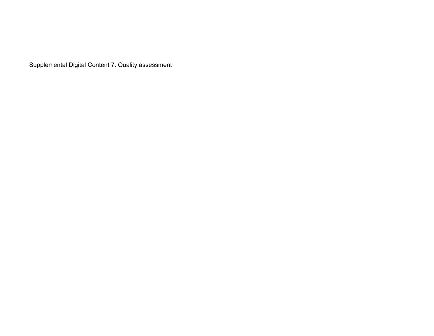Supplemental Digital Content 7: Quality assessment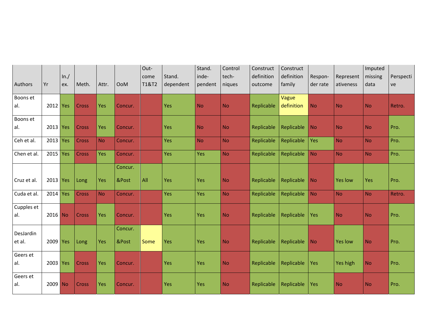| Authors             | <b>Yr</b>  | In./<br>ex. | Meth.        | Attr.     | <b>OoM</b>       | Out-<br>come<br><b>T1&amp;T2</b> | Stand.<br>dependent | Stand.<br>inde-<br>pendent | Control<br>tech-<br>niques | Construct<br>definition<br>outcome | Construct<br>definition<br>family | Respon-<br>der rate      | Represent<br>ativeness | Imputed<br>missing<br>data | Perspecti<br>ve |
|---------------------|------------|-------------|--------------|-----------|------------------|----------------------------------|---------------------|----------------------------|----------------------------|------------------------------------|-----------------------------------|--------------------------|------------------------|----------------------------|-----------------|
| Boons et<br>al.     | 2012 Yes   |             | Cross        | Yes       | Concur.          |                                  | Yes                 | No                         | <b>No</b>                  | Replicable                         | Vague<br>definition               | l No                     | <b>No</b>              | <b>No</b>                  | Retro.          |
| Boons et<br>al.     | 2013 Yes   |             | <b>Cross</b> | Yes       | Concur.          |                                  | Yes                 | No                         | <b>No</b>                  | Replicable                         | Replicable                        | <b>No</b>                | <b>No</b>              | <b>No</b>                  | Pro.            |
| Ceh et al.          | 2013       | Yes         | Cross        | <b>No</b> | Concur.          |                                  | Yes                 | N <sub>o</sub>             | <b>No</b>                  | Replicable                         | Replicable                        | Yes                      | <b>No</b>              | <b>No</b>                  | Pro.            |
| Chen et al.         | $2015$ Yes |             | <b>Cross</b> | Yes       | Concur.          |                                  | Yes                 | Yes                        | <b>No</b>                  | Replicable                         | Replicable                        | <b>No</b>                | <b>No</b>              | <b>No</b>                  | Pro.            |
| Cruz et al.         | $2013$ Yes |             | Long         | Yes       | Concur.<br>&Post | All                              | Yes                 | Yes                        | <b>No</b>                  | Replicable                         | Replicable                        | $\overline{\mathsf{No}}$ | <b>Yes low</b>         | Yes                        | Pro.            |
| Cuda et al.         | 2014       | Yes         | Cross        | <b>No</b> | Concur.          |                                  | Yes                 | Yes                        | <b>No</b>                  | Replicable                         | Replicable                        | <b>No</b>                | <b>No</b>              | <b>No</b>                  | Retro.          |
| Cupples et<br>al.   | 2016 No    |             | Cross        | Yes       | Concur.          |                                  | Yes                 | Yes                        | <b>No</b>                  | Replicable                         | Replicable                        | Yes                      | No                     | <b>No</b>                  | Pro.            |
| DesJardin<br>et al. | 2009 Yes   |             | Long         | Yes       | Concur.<br>&Post | Some                             | Yes                 | Yes                        | <b>No</b>                  | Replicable                         | Replicable                        | l No                     | <b>Yes low</b>         | <b>No</b>                  | Pro.            |
| Geers et<br>al.     | 2003 Yes   |             | Cross        | Yes       | Concur.          |                                  | Yes                 | Yes                        | <b>No</b>                  | Replicable                         | Replicable                        | Yes                      | Yes high               | <b>No</b>                  | Pro.            |
| Geers et<br>al.     | 2009 No    |             | Cross        | Yes       | Concur.          |                                  | Yes                 | Yes                        | <b>No</b>                  | Replicable                         | Replicable                        | Yes                      | <b>No</b>              | <b>No</b>                  | Pro.            |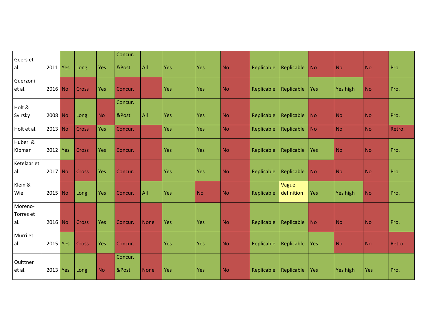| Geers et<br>al.             | 2011      | Yes | Long         | Yes       | Concur.<br>&Post | All         | Yes  | Yes                         | N <sub>o</sub> | Replicable | Replicable          | <b>No</b>  | <b>No</b>       | <b>No</b>      | Pro.   |
|-----------------------------|-----------|-----|--------------|-----------|------------------|-------------|------|-----------------------------|----------------|------------|---------------------|------------|-----------------|----------------|--------|
| Guerzoni<br>et al.          | 2016 No   |     | <b>Cross</b> | Yes       | Concur.          |             | Yes  | Yes                         | <b>No</b>      | Replicable | Replicable          | <b>Yes</b> | Yes high        | <b>No</b>      | Pro.   |
| Holt &<br>Svirsky           | 2008 No   |     | Long         | <b>No</b> | Concur.<br>&Post | All         | Yes  | Yes                         | <b>No</b>      | Replicable | Replicable          | <b>No</b>  | <b>No</b>       | <b>No</b>      | Pro.   |
| Holt et al.                 | $2013$ No |     | Cross        | Yes       | Concur.          |             | Yes  | Yes                         | <b>No</b>      | Replicable | Replicable          | <b>No</b>  | <b>No</b>       | <b>No</b>      | Retro. |
| Huber &<br>Kipman           | 2012      | Yes | Cross        | Yes       | Concur.          |             | Yes  | Yes                         | No             | Replicable | Replicable          | Yes        | N <sub>o</sub>  | <b>No</b>      | Pro.   |
| Ketelaar et<br>al.          | $2017$ No |     | Cross        | Yes       | Concur.          |             | Yes  | Yes                         | <b>No</b>      | Replicable | Replicable          | <b>No</b>  | <b>No</b>       | <b>No</b>      | Pro.   |
| Klein &<br>Wie              | $2015$ No |     | Long         | Yes       | Concur.          | All         | Yes/ | $\overline{\phantom{a}}$ No | <b>No</b>      | Replicable | Vague<br>definition | <b>Yes</b> | Yes high        | <b>No</b>      | Pro.   |
| Moreno-<br>Torres et<br>al. | 2016 No   |     | Cross        | Yes       | Concur.          | None        | Yes  | Yes                         | No             | Replicable | Replicable          | <b>No</b>  | N <sub>o</sub>  | N <sub>o</sub> | Pro.   |
| Murri et<br>al.             | 2015      | Yes | Cross        | Yes       | Concur.          |             | Yes  | Yes                         | N <sub>o</sub> | Replicable | Replicable          | <b>Yes</b> | No              | N <sub>o</sub> | Retro. |
| Quittner<br>et al.          | 2013 Yes  |     | Long         | <b>No</b> | Concur.<br>&Post | <b>None</b> | Yes  | Yes                         | <b>No</b>      | Replicable | Replicable          | Yes        | <b>Yes high</b> | Yes            | Pro.   |